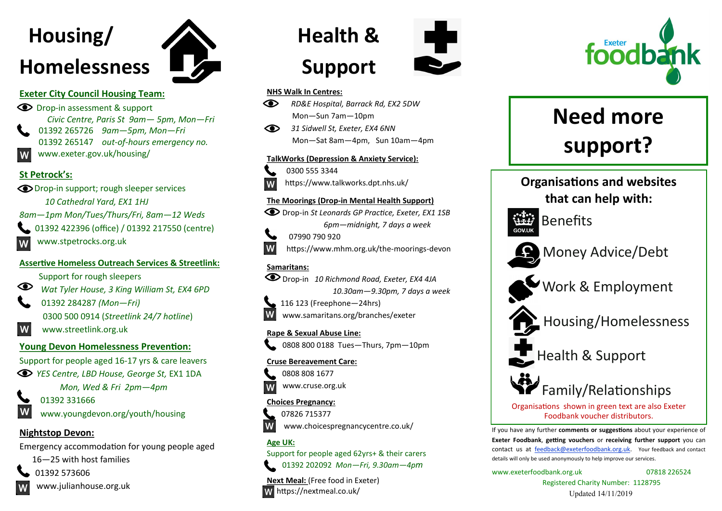# **Housing/ Homelessness**



 Drop-in assessment & support  *Civic Centre, Paris St 9am— 5pm, Mon—Fri*  01392 265726 *9am—5pm, Mon—Fri* 01392 265147 *out-of-hours emergency no.* www.exeter.gov.uk/housing/ W

#### **St Petrock's:**

 Drop-in support; rough sleeper services  *10 Cathedral Yard, EX1 1HJ* 

*8am—1pm Mon/Tues/Thurs/Fri, 8am—12 Weds*

01392 422396 (office) / 01392 217550 (centre)

www.stpetrocks.org.uk

#### **Assertive Homeless Outreach Services & Streetlink:**

Support for rough sleepers

*Wat Tyler House, 3 King William St, EX4 6PD*

 01392 284287 *(Mon—Fri)*  0300 500 0914 (*Streetlink 24/7 hotline*)

W www.streetlink.org.uk

# **Young Devon Homelessness Prevention:**

Support for people aged 16-17 yrs & care leavers

*YES Centre, LBD House, George St,* EX1 1DA

*Mon, Wed & Fri 2pm—4pm* 



www.youngdevon.org/youth/housing

# **Nightstop Devon:**

Emergency accommodation for young people aged

16—25 with host families

01392 573606



www.julianhouse.org.uk



# **Health & Support**

#### **NHS Walk In Centres:**

- *RD&E Hospital, Barrack Rd, EX2 5DW* Mon—Sun 7am—10pm
- *31 Sidwell St, Exeter, EX4 6NN* Mon—Sat 8am—4pm, Sun 10am—4pm

#### **TalkWorks (Depression & Anxiety Service):**



 0300 555 3344 https://www.talkworks.dpt.nhs.uk/

#### **The Moorings (Drop-in Mental Health Support)**

Drop-in *St Leonards GP Practice, Exeter, EX1 1SB 6pm—midnight, 7 days a week*



 07990 790 920 https://www.mhm.org.uk/the-moorings-devon

# **Samaritans:**



 Drop-in *10 Richmond Road, Exeter, EX4 4JA 10.30am—9.30pm, 7 days a week* 

116 123 (Freephone—24hrs) www.samaritans.org/branches/exeter

#### **Rape & Sexual Abuse Line:**



#### **Cruse Bereavement Care:**



www.cruse.org.uk

# **Choices Pregnancy:**



07826 715377

www.choicespregnancycentre.co.uk/

# **Age UK:**

Support for people aged 62yrs+ & their carers 01392 202092 *Mon—Fri, 9.30am—4pm*

**Next Meal:** (Free food in Exeter) https://nextmeal.co.uk/



# **Need more support?**





Health & Support



Organisations shown in green text are also Exeter Foodbank voucher distributors.

If you have any further **comments or suggestions** about your experience of **Exeter Foodbank**, **getting vouchers** or **receiving further support** you can contact us at [feedback@exeterfoodbank.org.uk.](mailto:feedback@exeterfoodbank.org.uk) Your feedback and contact details will only be used anonymously to help improve our services.

www.exeterfoodbank.org.uk 07818 226524

Registered Charity Number: 1128795 Updated 14/11/2019